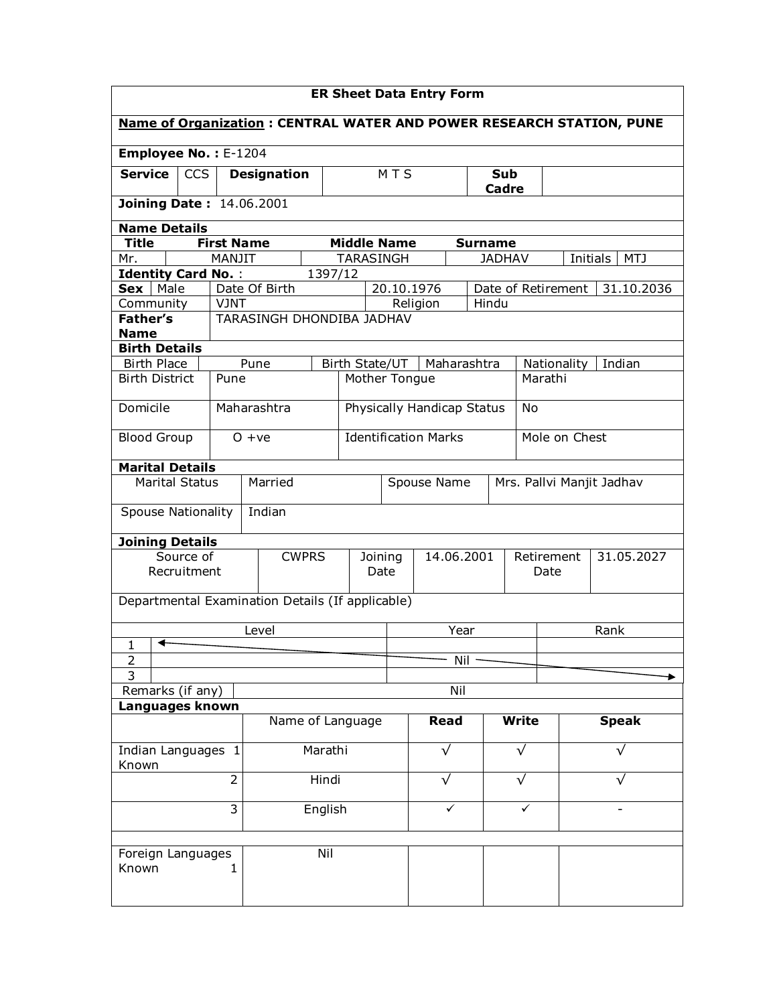| <b>ER Sheet Data Entry Form</b>  |             |                   |                                                                      |         |                                          |            |          |             |                |              |                    |                 |  |
|----------------------------------|-------------|-------------------|----------------------------------------------------------------------|---------|------------------------------------------|------------|----------|-------------|----------------|--------------|--------------------|-----------------|--|
|                                  |             |                   | Name of Organization: CENTRAL WATER AND POWER RESEARCH STATION, PUNE |         |                                          |            |          |             |                |              |                    |                 |  |
| Employee No.: E-1204             |             |                   |                                                                      |         |                                          |            |          |             |                |              |                    |                 |  |
| <b>Service</b>                   | CCS         |                   | <b>Designation</b>                                                   |         |                                          | MTS        |          |             | Sub<br>Cadre   |              |                    |                 |  |
| <b>Joining Date: 14.06.2001</b>  |             |                   |                                                                      |         |                                          |            |          |             |                |              |                    |                 |  |
| <b>Name Details</b>              |             |                   |                                                                      |         |                                          |            |          |             |                |              |                    |                 |  |
| <b>Title</b>                     |             | <b>First Name</b> |                                                                      |         | <b>Middle Name</b>                       |            |          |             | <b>Surname</b> |              |                    |                 |  |
| Mr.                              |             | MANJIT            |                                                                      |         | <b>TARASINGH</b>                         |            |          |             | <b>JADHAV</b>  |              |                    | Initials<br>MTJ |  |
| <b>Identity Card No.:</b>        |             |                   |                                                                      | 1397/12 |                                          |            |          |             |                |              |                    |                 |  |
| Male<br>Sex                      |             | <b>VJNT</b>       | Date Of Birth                                                        |         |                                          | 20.10.1976 |          |             | Hindu          |              | Date of Retirement | 31.10.2036      |  |
| Community<br><b>Father's</b>     |             |                   | <b>TARASINGH DHONDIBA JADHAV</b>                                     |         |                                          |            | Religion |             |                |              |                    |                 |  |
| <b>Name</b>                      |             |                   |                                                                      |         |                                          |            |          |             |                |              |                    |                 |  |
| <b>Birth Details</b>             |             |                   |                                                                      |         |                                          |            |          |             |                |              |                    |                 |  |
| <b>Birth Place</b>               |             |                   | Pune                                                                 |         | Birth State/UT                           |            |          | Maharashtra |                |              | Nationality        | Indian          |  |
| <b>Birth District</b>            |             | Pune              |                                                                      |         | Mother Tongue                            |            |          |             |                | Marathi      |                    |                 |  |
| Domicile                         |             |                   | Maharashtra                                                          |         | <b>Physically Handicap Status</b>        |            |          |             |                | <b>No</b>    |                    |                 |  |
| <b>Blood Group</b>               |             |                   | $O + ve$                                                             |         | <b>Identification Marks</b>              |            |          |             |                |              | Mole on Chest      |                 |  |
| <b>Marital Details</b>           |             |                   |                                                                      |         |                                          |            |          |             |                |              |                    |                 |  |
| <b>Marital Status</b><br>Married |             |                   |                                                                      |         | Spouse Name<br>Mrs. Pallvi Manjit Jadhav |            |          |             |                |              |                    |                 |  |
| <b>Spouse Nationality</b>        |             |                   | Indian                                                               |         |                                          |            |          |             |                |              |                    |                 |  |
| <b>Joining Details</b>           |             |                   |                                                                      |         |                                          |            |          |             |                |              |                    |                 |  |
|                                  | Source of   |                   | <b>CWPRS</b>                                                         |         | Joining                                  |            |          | 14.06.2001  |                |              | Retirement         | 31.05.2027      |  |
|                                  | Recruitment |                   |                                                                      | Date    |                                          |            |          |             | Date           |              |                    |                 |  |
|                                  |             |                   | Departmental Examination Details (If applicable)                     |         |                                          |            |          |             |                |              |                    |                 |  |
|                                  |             |                   | Level                                                                |         | Year                                     |            |          |             | Rank           |              |                    |                 |  |
| ◀<br>1<br>$\overline{2}$         |             |                   |                                                                      |         |                                          |            |          | Nil         |                |              |                    |                 |  |
| $\overline{3}$                   |             |                   |                                                                      |         |                                          |            |          |             |                |              |                    |                 |  |
| Remarks (if any)                 |             |                   |                                                                      |         |                                          |            |          | Nil         |                |              |                    |                 |  |
| Languages known                  |             |                   |                                                                      |         |                                          |            |          |             |                |              |                    |                 |  |
|                                  |             |                   |                                                                      |         | Name of Language                         |            | Read     |             |                | <b>Write</b> |                    | <b>Speak</b>    |  |
| Indian Languages 1<br>Known      |             | Marathi           |                                                                      |         |                                          | $\sqrt{}$  |          |             | $\sqrt{}$      |              | √                  |                 |  |
| $\overline{2}$                   |             |                   |                                                                      | Hindi   |                                          |            |          | $\sqrt{}$   |                | √            |                    |                 |  |
| 3                                |             |                   | English                                                              |         |                                          |            |          | ✓           |                | ✓            |                    |                 |  |
| Foreign Languages<br>Known       |             | 1                 | Nil                                                                  |         |                                          |            |          |             |                |              |                    |                 |  |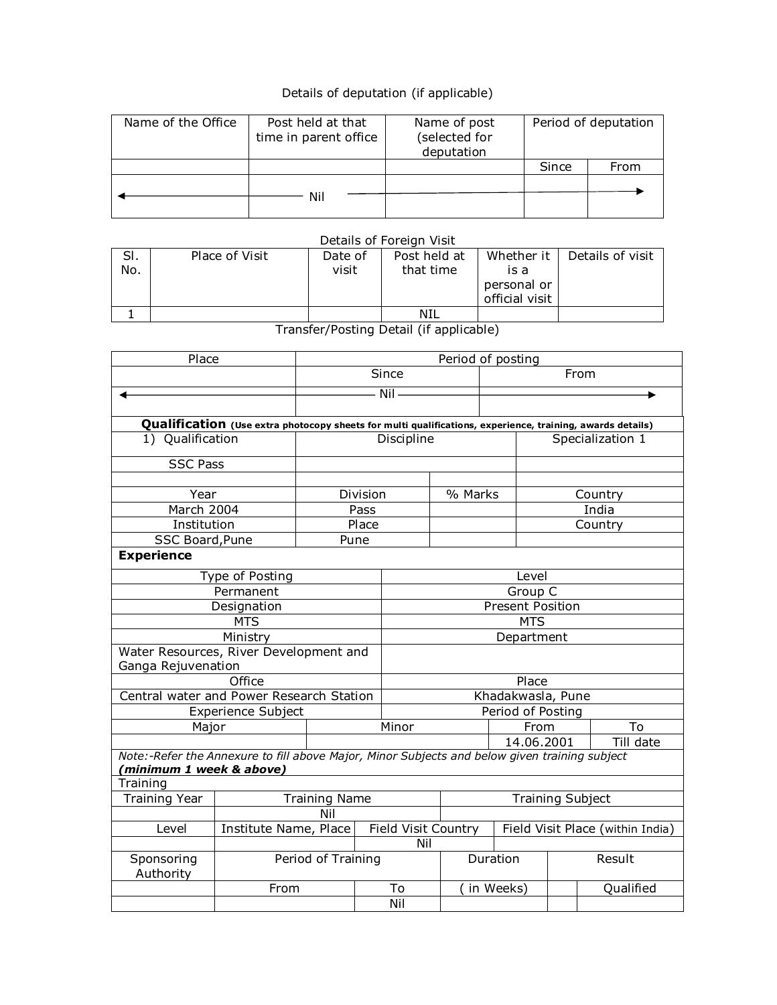## Details of deputation (if applicable)

| Name of the Office | Post held at that<br>time in parent office | Name of post<br>(selected for<br>deputation | Period of deputation |      |  |
|--------------------|--------------------------------------------|---------------------------------------------|----------------------|------|--|
|                    |                                            |                                             | Since                | From |  |
|                    |                                            |                                             |                      |      |  |
|                    | Nil                                        |                                             |                      |      |  |

## Details of Foreign Visit

| SI. | Place of Visit | Date of | Post held at | Whether it     | Details of visit |
|-----|----------------|---------|--------------|----------------|------------------|
| No. |                | visit   | that time    | is a           |                  |
|     |                |         |              | personal or    |                  |
|     |                |         |              | official visit |                  |
|     |                |         | NIL          |                |                  |

Transfer/Posting Detail (if applicable)

| Place                                                                                         |                                                                                                           | Period of posting  |                         |                         |                   |                                  |           |  |
|-----------------------------------------------------------------------------------------------|-----------------------------------------------------------------------------------------------------------|--------------------|-------------------------|-------------------------|-------------------|----------------------------------|-----------|--|
|                                                                                               |                                                                                                           |                    | Since                   |                         | From              |                                  |           |  |
|                                                                                               |                                                                                                           | - Nil -            |                         |                         |                   |                                  |           |  |
|                                                                                               |                                                                                                           |                    |                         |                         |                   |                                  |           |  |
|                                                                                               | Qualification (Use extra photocopy sheets for multi qualifications, experience, training, awards details) |                    |                         |                         |                   |                                  |           |  |
| 1) Qualification                                                                              |                                                                                                           | Discipline         |                         |                         | Specialization 1  |                                  |           |  |
| <b>SSC Pass</b>                                                                               |                                                                                                           |                    |                         |                         |                   |                                  |           |  |
|                                                                                               |                                                                                                           |                    |                         |                         |                   |                                  |           |  |
| Year                                                                                          |                                                                                                           |                    | Division                | % Marks                 |                   | Country                          |           |  |
| March 2004                                                                                    |                                                                                                           |                    | Pass                    |                         |                   |                                  | India     |  |
| Institution                                                                                   |                                                                                                           |                    | Place                   |                         |                   |                                  | Country   |  |
| SSC Board, Pune                                                                               |                                                                                                           | Pune               |                         |                         |                   |                                  |           |  |
| <b>Experience</b>                                                                             |                                                                                                           |                    |                         |                         |                   |                                  |           |  |
|                                                                                               | Type of Posting                                                                                           |                    |                         |                         | Level             |                                  |           |  |
|                                                                                               | Permanent                                                                                                 |                    |                         |                         | Group C           |                                  |           |  |
|                                                                                               | Designation                                                                                               |                    |                         | <b>Present Position</b> |                   |                                  |           |  |
|                                                                                               | <b>MTS</b>                                                                                                |                    |                         | <b>MTS</b>              |                   |                                  |           |  |
|                                                                                               | Ministry                                                                                                  |                    |                         | Department              |                   |                                  |           |  |
| Water Resources, River Development and                                                        |                                                                                                           |                    |                         |                         |                   |                                  |           |  |
| Ganga Rejuvenation                                                                            |                                                                                                           |                    |                         |                         |                   |                                  |           |  |
|                                                                                               | Office                                                                                                    |                    |                         |                         | Place             |                                  |           |  |
| Central water and Power Research Station                                                      |                                                                                                           |                    |                         | Khadakwasla, Pune       |                   |                                  |           |  |
|                                                                                               | <b>Experience Subject</b>                                                                                 |                    |                         |                         | Period of Posting |                                  |           |  |
| Major                                                                                         |                                                                                                           |                    | Minor                   |                         | From              |                                  | To        |  |
|                                                                                               |                                                                                                           |                    |                         |                         | 14.06.2001        |                                  | Till date |  |
| Note:-Refer the Annexure to fill above Major, Minor Subjects and below given training subject |                                                                                                           |                    |                         |                         |                   |                                  |           |  |
| (minimum 1 week & above)                                                                      |                                                                                                           |                    |                         |                         |                   |                                  |           |  |
| Training                                                                                      |                                                                                                           |                    |                         |                         |                   |                                  |           |  |
| <b>Training Year</b>                                                                          | <b>Training Name</b>                                                                                      |                    | <b>Training Subject</b> |                         |                   |                                  |           |  |
|                                                                                               |                                                                                                           | Nil                |                         |                         |                   |                                  |           |  |
| Level                                                                                         | Institute Name, Place                                                                                     |                    |                         | Field Visit Country     |                   | Field Visit Place (within India) |           |  |
|                                                                                               |                                                                                                           |                    |                         | Nil                     |                   |                                  |           |  |
| Sponsoring<br>Authority                                                                       |                                                                                                           | Period of Training |                         | Duration                |                   |                                  | Result    |  |
|                                                                                               | From                                                                                                      |                    | To                      |                         | in Weeks)         |                                  | Qualified |  |
|                                                                                               |                                                                                                           |                    | Nil                     |                         |                   |                                  |           |  |